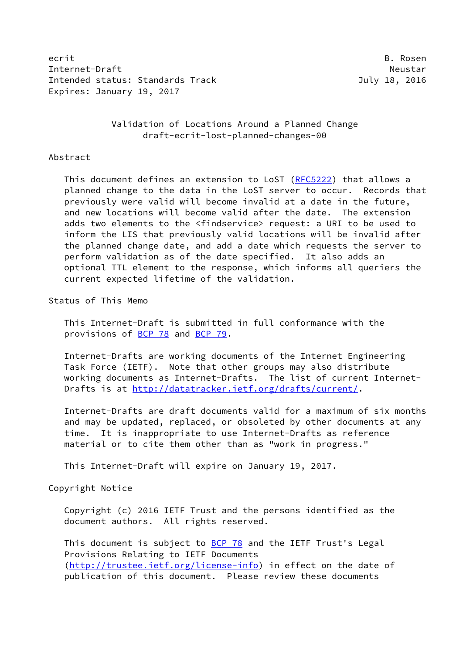ecrit B. Rosen B. Rosen B. Rosen B. Rosen B. Rosen B. Rosen B. Rosen B. Rosen B. Rosen B. Rosen B. Rosen B. Rosen Internet-Draft Neustar Neustar Intended status: Standards Track July 18, 2016 Expires: January 19, 2017

 Validation of Locations Around a Planned Change draft-ecrit-lost-planned-changes-00

### Abstract

This document defines an extension to LoST ([RFC5222\)](https://datatracker.ietf.org/doc/pdf/rfc5222) that allows a planned change to the data in the LoST server to occur. Records that previously were valid will become invalid at a date in the future, and new locations will become valid after the date. The extension adds two elements to the <findservice> request: a URI to be used to inform the LIS that previously valid locations will be invalid after the planned change date, and add a date which requests the server to perform validation as of the date specified. It also adds an optional TTL element to the response, which informs all queriers the current expected lifetime of the validation.

Status of This Memo

 This Internet-Draft is submitted in full conformance with the provisions of [BCP 78](https://datatracker.ietf.org/doc/pdf/bcp78) and [BCP 79](https://datatracker.ietf.org/doc/pdf/bcp79).

 Internet-Drafts are working documents of the Internet Engineering Task Force (IETF). Note that other groups may also distribute working documents as Internet-Drafts. The list of current Internet- Drafts is at<http://datatracker.ietf.org/drafts/current/>.

 Internet-Drafts are draft documents valid for a maximum of six months and may be updated, replaced, or obsoleted by other documents at any time. It is inappropriate to use Internet-Drafts as reference material or to cite them other than as "work in progress."

This Internet-Draft will expire on January 19, 2017.

Copyright Notice

 Copyright (c) 2016 IETF Trust and the persons identified as the document authors. All rights reserved.

This document is subject to **[BCP 78](https://datatracker.ietf.org/doc/pdf/bcp78)** and the IETF Trust's Legal Provisions Relating to IETF Documents [\(http://trustee.ietf.org/license-info](http://trustee.ietf.org/license-info)) in effect on the date of publication of this document. Please review these documents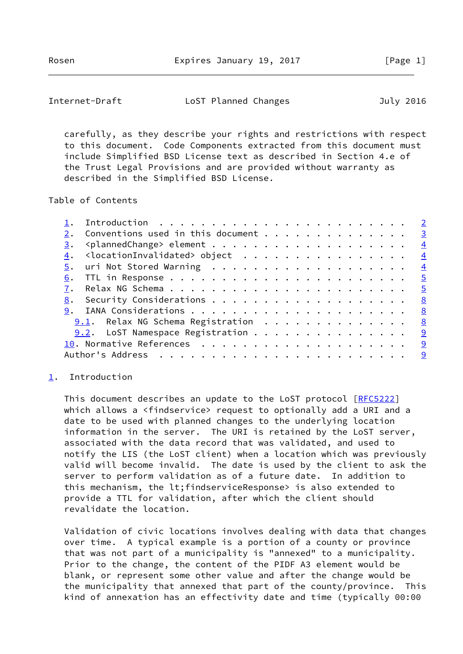<span id="page-1-1"></span>Internet-Draft LoST Planned Changes July 2016

 carefully, as they describe your rights and restrictions with respect to this document. Code Components extracted from this document must include Simplified BSD License text as described in Section 4.e of the Trust Legal Provisions and are provided without warranty as described in the Simplified BSD License.

# Table of Contents

|    | Conventions used in this document $\cdots$ 3                           |  |  |  |  |  |  |  |              |
|----|------------------------------------------------------------------------|--|--|--|--|--|--|--|--------------|
| 3. |                                                                        |  |  |  |  |  |  |  |              |
|    | $\underline{4}$ . <locationinvalidated> object 4</locationinvalidated> |  |  |  |  |  |  |  |              |
|    |                                                                        |  |  |  |  |  |  |  |              |
|    |                                                                        |  |  |  |  |  |  |  |              |
|    |                                                                        |  |  |  |  |  |  |  |              |
| 8. |                                                                        |  |  |  |  |  |  |  | $^{\circ}$ 8 |
|    |                                                                        |  |  |  |  |  |  |  | 8            |
|    | 9.1. Relax NG Schema Registration 8                                    |  |  |  |  |  |  |  |              |
|    | $9.2$ . LoST Namespace Registration 9                                  |  |  |  |  |  |  |  |              |
|    |                                                                        |  |  |  |  |  |  |  |              |
|    |                                                                        |  |  |  |  |  |  |  |              |

# <span id="page-1-0"></span>[1](#page-1-0). Introduction

This document describes an update to the LoST protocol [\[RFC5222](https://datatracker.ietf.org/doc/pdf/rfc5222)] which allows a <findservice> request to optionally add a URI and a date to be used with planned changes to the underlying location information in the server. The URI is retained by the LoST server, associated with the data record that was validated, and used to notify the LIS (the LoST client) when a location which was previously valid will become invalid. The date is used by the client to ask the server to perform validation as of a future date. In addition to this mechanism, the lt;findserviceResponse> is also extended to provide a TTL for validation, after which the client should revalidate the location.

 Validation of civic locations involves dealing with data that changes over time. A typical example is a portion of a county or province that was not part of a municipality is "annexed" to a municipality. Prior to the change, the content of the PIDF A3 element would be blank, or represent some other value and after the change would be the municipality that annexed that part of the county/province. This kind of annexation has an effectivity date and time (typically 00:00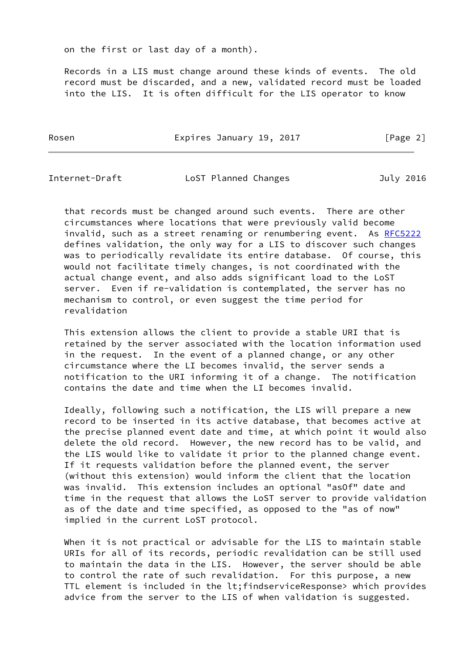on the first or last day of a month).

 Records in a LIS must change around these kinds of events. The old record must be discarded, and a new, validated record must be loaded into the LIS. It is often difficult for the LIS operator to know

Rosen **Expires January 19, 2017** [Page 2]

<span id="page-2-0"></span>Internet-Draft LoST Planned Changes July 2016

 that records must be changed around such events. There are other circumstances where locations that were previously valid become invalid, such as a street renaming or renumbering event. As [RFC5222](https://datatracker.ietf.org/doc/pdf/rfc5222) defines validation, the only way for a LIS to discover such changes was to periodically revalidate its entire database. Of course, this would not facilitate timely changes, is not coordinated with the actual change event, and also adds significant load to the LoST server. Even if re-validation is contemplated, the server has no mechanism to control, or even suggest the time period for revalidation

 This extension allows the client to provide a stable URI that is retained by the server associated with the location information used in the request. In the event of a planned change, or any other circumstance where the LI becomes invalid, the server sends a notification to the URI informing it of a change. The notification contains the date and time when the LI becomes invalid.

 Ideally, following such a notification, the LIS will prepare a new record to be inserted in its active database, that becomes active at the precise planned event date and time, at which point it would also delete the old record. However, the new record has to be valid, and the LIS would like to validate it prior to the planned change event. If it requests validation before the planned event, the server (without this extension) would inform the client that the location was invalid. This extension includes an optional "asOf" date and time in the request that allows the LoST server to provide validation as of the date and time specified, as opposed to the "as of now" implied in the current LoST protocol.

When it is not practical or advisable for the LIS to maintain stable URIs for all of its records, periodic revalidation can be still used to maintain the data in the LIS. However, the server should be able to control the rate of such revalidation. For this purpose, a new TTL element is included in the lt;findserviceResponse> which provides advice from the server to the LIS of when validation is suggested.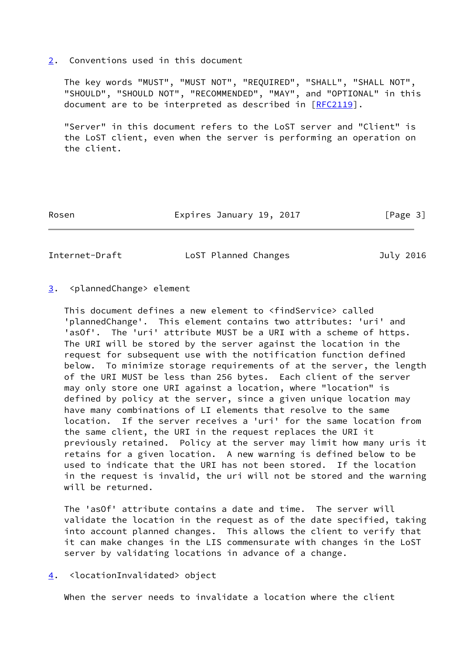#### <span id="page-3-0"></span>[2](#page-3-0). Conventions used in this document

 The key words "MUST", "MUST NOT", "REQUIRED", "SHALL", "SHALL NOT", "SHOULD", "SHOULD NOT", "RECOMMENDED", "MAY", and "OPTIONAL" in this document are to be interpreted as described in [\[RFC2119](https://datatracker.ietf.org/doc/pdf/rfc2119)].

 "Server" in this document refers to the LoST server and "Client" is the LoST client, even when the server is performing an operation on the client.

Rosen **Expires January 19, 2017** [Page 3]

<span id="page-3-2"></span>Internet-Draft LoST Planned Changes July 2016

# <span id="page-3-1"></span>[3](#page-3-1). <plannedChange> element

 This document defines a new element to <findService> called 'plannedChange'. This element contains two attributes: 'uri' and 'asOf'. The 'uri' attribute MUST be a URI with a scheme of https. The URI will be stored by the server against the location in the request for subsequent use with the notification function defined below. To minimize storage requirements of at the server, the length of the URI MUST be less than 256 bytes. Each client of the server may only store one URI against a location, where "location" is defined by policy at the server, since a given unique location may have many combinations of LI elements that resolve to the same location. If the server receives a 'uri' for the same location from the same client, the URI in the request replaces the URI it previously retained. Policy at the server may limit how many uris it retains for a given location. A new warning is defined below to be used to indicate that the URI has not been stored. If the location in the request is invalid, the uri will not be stored and the warning will be returned.

 The 'asOf' attribute contains a date and time. The server will validate the location in the request as of the date specified, taking into account planned changes. This allows the client to verify that it can make changes in the LIS commensurate with changes in the LoST server by validating locations in advance of a change.

# <span id="page-3-3"></span>[4](#page-3-3). <locationInvalidated> object

When the server needs to invalidate a location where the client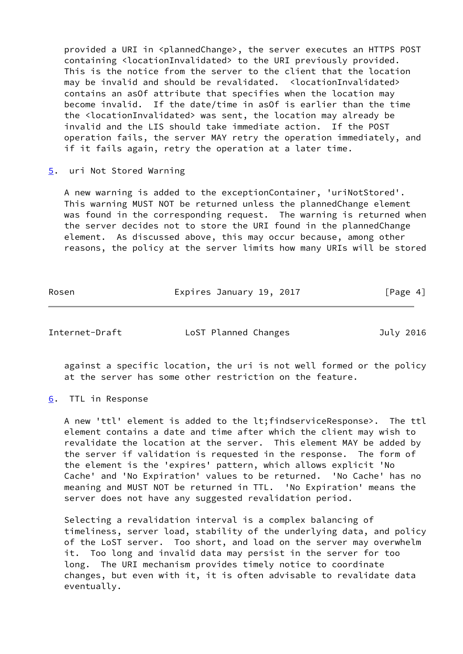provided a URI in <plannedChange>, the server executes an HTTPS POST containing <locationInvalidated> to the URI previously provided. This is the notice from the server to the client that the location may be invalid and should be revalidated. <locationInvalidated> contains an asOf attribute that specifies when the location may become invalid. If the date/time in asOf is earlier than the time the <locationInvalidated> was sent, the location may already be invalid and the LIS should take immediate action. If the POST operation fails, the server MAY retry the operation immediately, and if it fails again, retry the operation at a later time.

<span id="page-4-0"></span>[5](#page-4-0). uri Not Stored Warning

 A new warning is added to the exceptionContainer, 'uriNotStored'. This warning MUST NOT be returned unless the plannedChange element was found in the corresponding request. The warning is returned when the server decides not to store the URI found in the plannedChange element. As discussed above, this may occur because, among other reasons, the policy at the server limits how many URIs will be stored

Rosen **Expires January 19, 2017** [Page 4]

<span id="page-4-2"></span>Internet-Draft LoST Planned Changes July 2016

 against a specific location, the uri is not well formed or the policy at the server has some other restriction on the feature.

<span id="page-4-1"></span>[6](#page-4-1). TTL in Response

 A new 'ttl' element is added to the lt;findserviceResponse>. The ttl element contains a date and time after which the client may wish to revalidate the location at the server. This element MAY be added by the server if validation is requested in the response. The form of the element is the 'expires' pattern, which allows explicit 'No Cache' and 'No Expiration' values to be returned. 'No Cache' has no meaning and MUST NOT be returned in TTL. 'No Expiration' means the server does not have any suggested revalidation period.

 Selecting a revalidation interval is a complex balancing of timeliness, server load, stability of the underlying data, and policy of the LoST server. Too short, and load on the server may overwhelm it. Too long and invalid data may persist in the server for too long. The URI mechanism provides timely notice to coordinate changes, but even with it, it is often advisable to revalidate data eventually.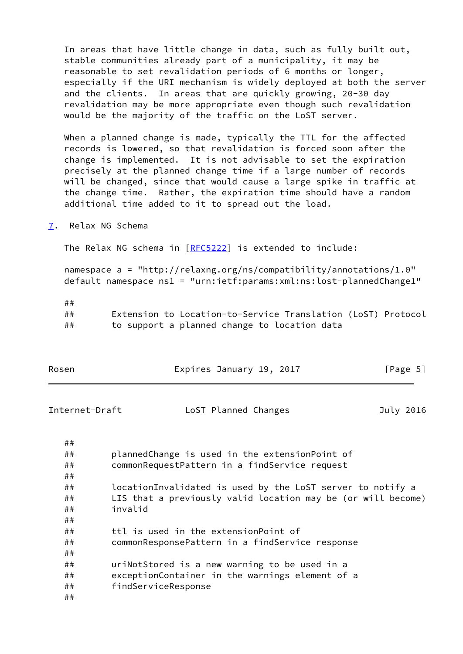In areas that have little change in data, such as fully built out, stable communities already part of a municipality, it may be reasonable to set revalidation periods of 6 months or longer, especially if the URI mechanism is widely deployed at both the server and the clients. In areas that are quickly growing, 20-30 day revalidation may be more appropriate even though such revalidation would be the majority of the traffic on the LoST server.

 When a planned change is made, typically the TTL for the affected records is lowered, so that revalidation is forced soon after the change is implemented. It is not advisable to set the expiration precisely at the planned change time if a large number of records will be changed, since that would cause a large spike in traffic at the change time. Rather, the expiration time should have a random additional time added to it to spread out the load.

<span id="page-5-0"></span>[7](#page-5-0). Relax NG Schema

The Relax NG schema in [\[RFC5222](https://datatracker.ietf.org/doc/pdf/rfc5222)] is extended to include:

 namespace a = "http://relaxng.org/ns/compatibility/annotations/1.0" default namespace ns1 = "urn:ietf:params:xml:ns:lost-plannedChange1"

 ## ## Extension to Location-to-Service Translation (LoST) Protocol ## to support a planned change to location data

| Rosen          | Expires January 19, 2017                                     | [Page 5]  |
|----------------|--------------------------------------------------------------|-----------|
| Internet-Draft | LoST Planned Changes                                         | July 2016 |
| ##             |                                                              |           |
| ##             | plannedChange is used in the extensionPoint of               |           |
| ##             | commonRequestPattern in a findService request                |           |
| ##             |                                                              |           |
| ##             | locationInvalidated is used by the LoST server to notify a   |           |
| ##             | LIS that a previously valid location may be (or will become) |           |
| invalid<br>##  |                                                              |           |
| ##             |                                                              |           |
| ##             | ttl is used in the extensionPoint of                         |           |
| ##             | commonResponsePattern in a findService response              |           |
| ##             |                                                              |           |
| ##             | uriNotStored is a new warning to be used in a                |           |
| ##             | exceptionContainer in the warnings element of a              |           |
| ##             | findServiceResponse                                          |           |
| ##             |                                                              |           |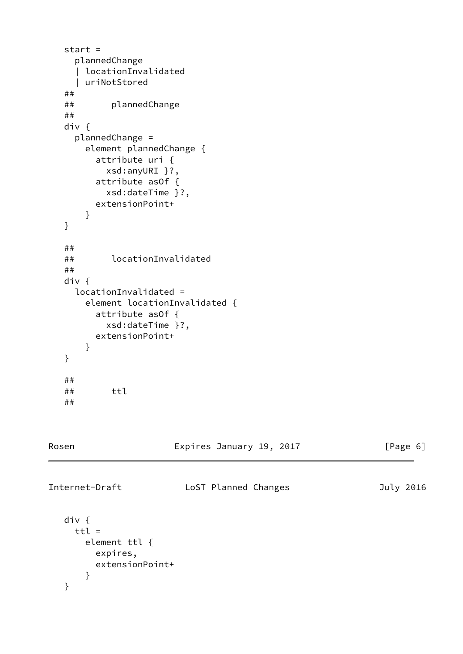```
 start =
     plannedChange
      | locationInvalidated
      | uriNotStored
   ##
   ## plannedChange
   ##
   div {
     plannedChange =
       element plannedChange {
         attribute uri {
           xsd:anyURI }?,
         attribute asOf {
           xsd:dateTime }?,
         extensionPoint+
       }
   }
   ##
   ## locationInvalidated
   ##
   div {
     locationInvalidated =
       element locationInvalidated {
         attribute asOf {
           xsd:dateTime }?,
         extensionPoint+
       }
   }
   ##
   ## ttl
   ##
Rosen Expires January 19, 2017 [Page 6]
Internet-Draft LoST Planned Changes July 2016
   div {
    ttl = element ttl {
         expires,
```

```
 extensionPoint+
     }
 }
```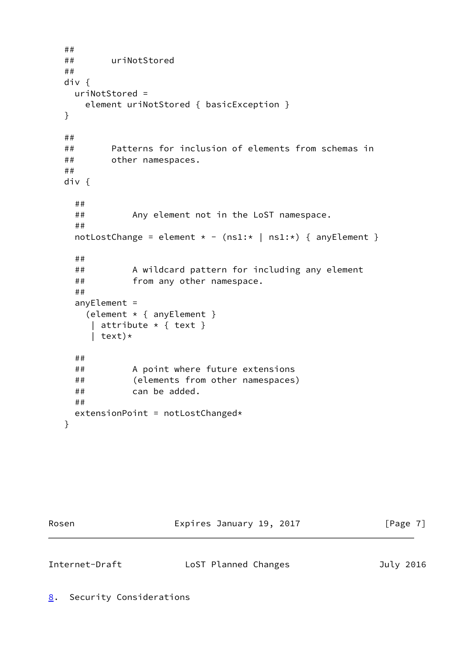```
 ##
 ## uriNotStored
 ##
 div {
  uriNotStored =
     element uriNotStored { basicException }
 }
 ##
 ## Patterns for inclusion of elements from schemas in
 ## other namespaces.
 ##
 div {
   ##
   ## Any element not in the LoST namespace.
   ##
  notLostChange = element * - (ns1; * | ns1; *) { anyElement }
   ##
   ## A wildcard pattern for including any element
   ## from any other namespace.
   ##
   anyElement =
     (element * { anyElement }
     | attribute \star { text }
      | text)*
   ##
   ## A point where future extensions
   ## (elements from other namespaces)
   ## can be added.
   ##
  extensionPoint = notLostChanged* }
```
Rosen **Expires January 19, 2017** [Page 7]

<span id="page-7-1"></span><span id="page-7-0"></span>

| Internet-Draft |  |
|----------------|--|
|----------------|--|

LoST Planned Changes July 2016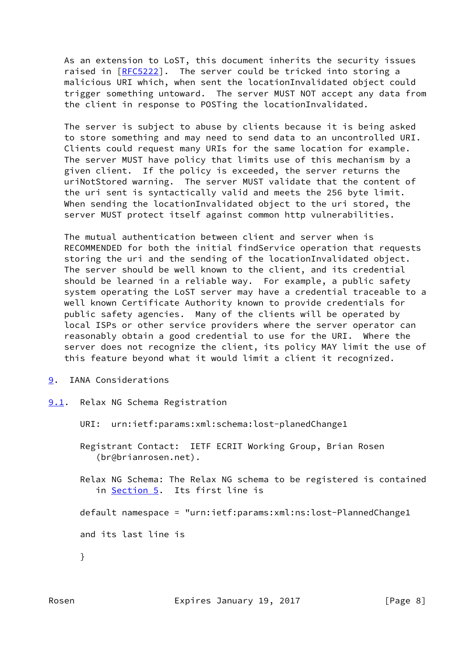As an extension to LoST, this document inherits the security issues raised in [[RFC5222](https://datatracker.ietf.org/doc/pdf/rfc5222)]. The server could be tricked into storing a malicious URI which, when sent the locationInvalidated object could trigger something untoward. The server MUST NOT accept any data from the client in response to POSTing the locationInvalidated.

 The server is subject to abuse by clients because it is being asked to store something and may need to send data to an uncontrolled URI. Clients could request many URIs for the same location for example. The server MUST have policy that limits use of this mechanism by a given client. If the policy is exceeded, the server returns the uriNotStored warning. The server MUST validate that the content of the uri sent is syntactically valid and meets the 256 byte limit. When sending the locationInvalidated object to the uri stored, the server MUST protect itself against common http vulnerabilities.

 The mutual authentication between client and server when is RECOMMENDED for both the initial findService operation that requests storing the uri and the sending of the locationInvalidated object. The server should be well known to the client, and its credential should be learned in a reliable way. For example, a public safety system operating the LoST server may have a credential traceable to a well known Certificate Authority known to provide credentials for public safety agencies. Many of the clients will be operated by local ISPs or other service providers where the server operator can reasonably obtain a good credential to use for the URI. Where the server does not recognize the client, its policy MAY limit the use of this feature beyond what it would limit a client it recognized.

- <span id="page-8-0"></span>[9](#page-8-0). IANA Considerations
- <span id="page-8-1"></span>[9.1](#page-8-1). Relax NG Schema Registration
	- URI: urn:ietf:params:xml:schema:lost-planedChange1
	- Registrant Contact: IETF ECRIT Working Group, Brian Rosen (br@brianrosen.net).
	- Relax NG Schema: The Relax NG schema to be registered is contained in [Section 5](#page-4-0). Its first line is
	- default namespace = "urn:ietf:params:xml:ns:lost-PlannedChange1
	- and its last line is
	- }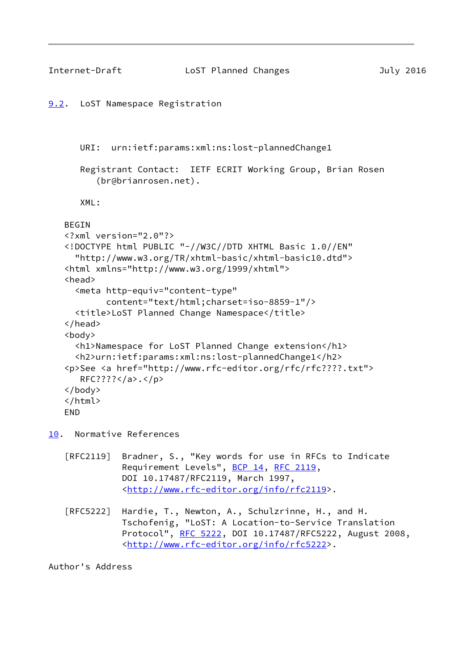```
Internet-Draft LoST Planned Changes July 2016
9.2. LoST Namespace Registration
      URI: urn:ietf:params:xml:ns:lost-plannedChange1
       Registrant Contact: IETF ECRIT Working Group, Brian Rosen
          (br@brianrosen.net).
       XML:
    BEGIN
    <?xml version="2.0"?>
    <!DOCTYPE html PUBLIC "-//W3C//DTD XHTML Basic 1.0//EN"
      "http://www.w3.org/TR/xhtml-basic/xhtml-basic10.dtd">
    <html xmlns="http://www.w3.org/1999/xhtml">
    <head>
      <meta http-equiv="content-type"
            content="text/html;charset=iso-8859-1"/>
      <title>LoST Planned Change Namespace</title>
    </head>
    <body>
      <h1>Namespace for LoST Planned Change extension</h1>
      <h2>urn:ietf:params:xml:ns:lost-plannedChange1</h2>
    <p>See <a href="http://www.rfc-editor.org/rfc/rfc????.txt">
       RFC????</a>.</p>
    </body>
    </html>
    END
10. Normative References
```
- [RFC2119] Bradner, S., "Key words for use in RFCs to Indicate Requirement Levels", [BCP 14](https://datatracker.ietf.org/doc/pdf/bcp14), [RFC 2119](https://datatracker.ietf.org/doc/pdf/rfc2119), DOI 10.17487/RFC2119, March 1997, <<http://www.rfc-editor.org/info/rfc2119>>.
- [RFC5222] Hardie, T., Newton, A., Schulzrinne, H., and H. Tschofenig, "LoST: A Location-to-Service Translation Protocol", [RFC 5222](https://datatracker.ietf.org/doc/pdf/rfc5222), DOI 10.17487/RFC5222, August 2008, <<http://www.rfc-editor.org/info/rfc5222>>.

Author's Address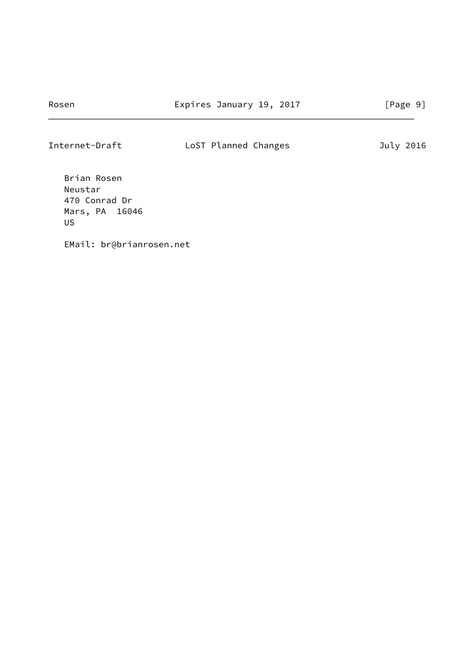# Internet-Draft LoST Planned Changes July 2016

 Brian Rosen Neustar 470 Conrad Dr Mars, PA 16046 US

EMail: br@brianrosen.net